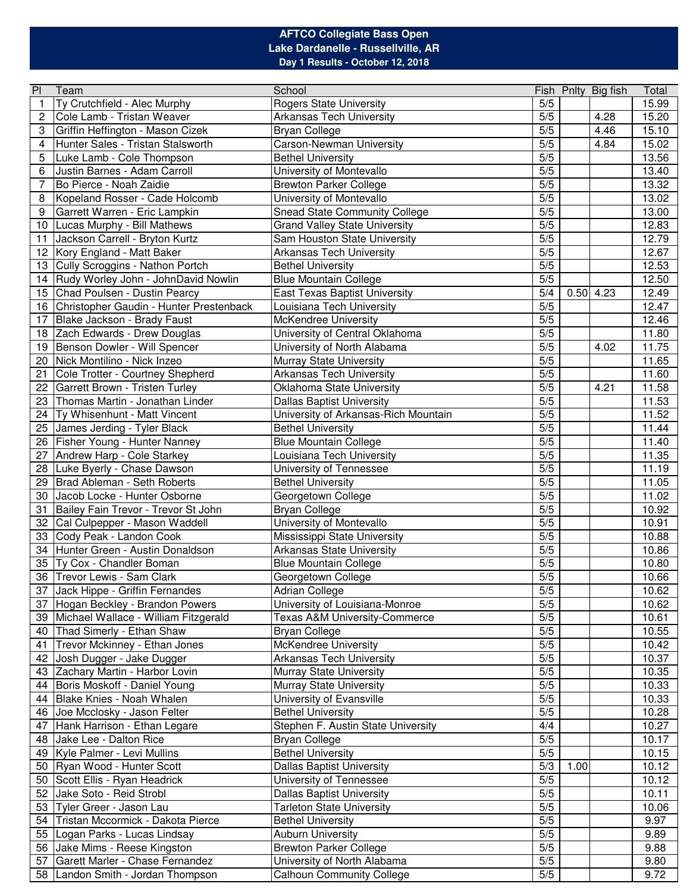## **AFTCO Collegiate Bass Open Lake Dardanelle - Russellville, AR Day 1 Results - October 12, 2018**

| P            | Team                                    | School                                   |       |      | Fish Pnlty Big fish | Total          |
|--------------|-----------------------------------------|------------------------------------------|-------|------|---------------------|----------------|
| $\mathbf{1}$ | Ty Crutchfield - Alec Murphy            | Rogers State University                  | 5/5   |      |                     | 15.99          |
| 2            | Cole Lamb - Tristan Weaver              | <b>Arkansas Tech University</b>          | 5/5   |      | 4.28                | 15.20          |
| 3            | Griffin Heffington - Mason Cizek        | <b>Bryan College</b>                     | $5/5$ |      | 4.46                | 15.10          |
| 4            | Hunter Sales - Tristan Stalsworth       | Carson-Newman University                 | $5/5$ |      | 4.84                | 15.02          |
| 5            | Luke Lamb - Cole Thompson               | <b>Bethel University</b>                 | $5/5$ |      |                     | 13.56          |
| 6            | Justin Barnes - Adam Carroll            | University of Montevallo                 | $5/5$ |      |                     | 13.40          |
| 7            | Bo Pierce - Noah Zaidie                 | <b>Brewton Parker College</b>            | $5/5$ |      |                     | 13.32          |
| 8            | Kopeland Rosser - Cade Holcomb          | University of Montevallo                 | $5/5$ |      |                     | 13.02          |
| 9            | Garrett Warren - Eric Lampkin           | <b>Snead State Community College</b>     | $5/5$ |      |                     | 13.00          |
| 10           | Lucas Murphy - Bill Mathews             | <b>Grand Valley State University</b>     | $5/5$ |      |                     | 12.83          |
| 11           | Jackson Carrell - Bryton Kurtz          | Sam Houston State University             | $5/5$ |      |                     | 12.79          |
| 12           | Kory England - Matt Baker               | <b>Arkansas Tech University</b>          | $5/5$ |      |                     | 12.67          |
| 13           | Cully Scroggins - Nathon Portch         | <b>Bethel University</b>                 | $5/5$ |      |                     | 12.53          |
| 14           | Rudy Worley John - JohnDavid Nowlin     | <b>Blue Mountain College</b>             | 5/5   |      |                     | 12.50          |
| 15           | Chad Poulsen - Dustin Pearcy            | <b>East Texas Baptist University</b>     | 5/4   |      | $0.50$ 4.23         | 12.49          |
| 16           | Christopher Gaudin - Hunter Prestenback | Louisiana Tech University                | 5/5   |      |                     | 12.47          |
| 17           | Blake Jackson - Brady Faust             | McKendree University                     | $5/5$ |      |                     | 12.46          |
|              | Zach Edwards - Drew Douglas             |                                          | $5/5$ |      |                     |                |
| 18           |                                         | University of Central Oklahoma           | $5/5$ |      |                     | 11.80<br>11.75 |
| 19           | Benson Dowler - Will Spencer            | University of North Alabama              |       |      | 4.02                |                |
| 20           | Nick Montilino - Nick Inzeo             | Murray State University                  | $5/5$ |      |                     | 11.65          |
| 21           | Cole Trotter - Courtney Shepherd        | Arkansas Tech University                 | $5/5$ |      |                     | 11.60          |
| 22           | Garrett Brown - Tristen Turley          | Oklahoma State University                | $5/5$ |      | 4.21                | 11.58          |
| 23           | Thomas Martin - Jonathan Linder         | <b>Dallas Baptist University</b>         | $5/5$ |      |                     | 11.53          |
| 24           | Ty Whisenhunt - Matt Vincent            | University of Arkansas-Rich Mountain     | $5/5$ |      |                     | 11.52          |
| 25           | James Jerding - Tyler Black             | <b>Bethel University</b>                 | $5/5$ |      |                     | 11.44          |
| 26           | Fisher Young - Hunter Nanney            | <b>Blue Mountain College</b>             | $5/5$ |      |                     | 11.40          |
| 27           | Andrew Harp - Cole Starkey              | Louisiana Tech University                | $5/5$ |      |                     | 11.35          |
| 28           | Luke Byerly - Chase Dawson              | University of Tennessee                  | $5/5$ |      |                     | 11.19          |
| 29           | Brad Ableman - Seth Roberts             | <b>Bethel University</b>                 | $5/5$ |      |                     | 11.05          |
| 30           | Jacob Locke - Hunter Osborne            | Georgetown College                       | $5/5$ |      |                     | 11.02          |
| 31           | Bailey Fain Trevor - Trevor St John     | <b>Bryan College</b>                     | $5/5$ |      |                     | 10.92          |
| 32           | Cal Culpepper - Mason Waddell           | University of Montevallo                 | $5/5$ |      |                     | 10.91          |
| 33           | Cody Peak - Landon Cook                 | Mississippi State University             | $5/5$ |      |                     | 10.88          |
| 34           | Hunter Green - Austin Donaldson         | Arkansas State University                | $5/5$ |      |                     | 10.86          |
| 35           | Ty Cox - Chandler Boman                 | <b>Blue Mountain College</b>             | $5/5$ |      |                     | 10.80          |
| 36           | Trevor Lewis - Sam Clark                | Georgetown College                       | $5/5$ |      |                     | 10.66          |
|              | 37 Jack Hippe - Griffin Fernandes       | <b>Adrian College</b>                    | 5/5   |      |                     | 10.62          |
|              | 37 Hogan Beckley - Brandon Powers       | University of Louisiana-Monroe           | 5/5   |      |                     | 10.62          |
|              | 39 Michael Wallace - William Fitzgerald | <b>Texas A&amp;M University-Commerce</b> | 5/5   |      |                     | 10.61          |
|              | 40 Thad Simerly - Ethan Shaw            | <b>Bryan College</b>                     | 5/5   |      |                     | 10.55          |
|              | Trevor Mckinney - Ethan Jones           | <b>McKendree University</b>              | 5/5   |      |                     | 10.42          |
| 41           | Josh Dugger - Jake Dugger               | <b>Arkansas Tech University</b>          | 5/5   |      |                     | 10.37          |
| 42           |                                         |                                          | 5/5   |      |                     |                |
| 43           | Zachary Martin - Harbor Lovin           | Murray State University                  |       |      |                     | 10.35          |
| 44           | Boris Moskoff - Daniel Young            | Murray State University                  | 5/5   |      |                     | 10.33          |
| 44           | Blake Knies - Noah Whalen               | University of Evansville                 | 5/5   |      |                     | 10.33          |
| 46           | Joe Mcclosky - Jason Felter             | <b>Bethel University</b>                 | 5/5   |      |                     | 10.28          |
| 47           | Hank Harrison - Ethan Legare            | Stephen F. Austin State University       | 4/4   |      |                     | 10.27          |
|              | 48 Jake Lee - Dalton Rice               | <b>Bryan College</b>                     | 5/5   |      |                     | 10.17          |
|              | 49   Kyle Palmer - Levi Mullins         | <b>Bethel University</b>                 | 5/5   |      |                     | 10.15          |
| 50           | Ryan Wood - Hunter Scott                | <b>Dallas Baptist University</b>         | 5/3   | 1.00 |                     | 10.12          |
| 50           | Scott Ellis - Ryan Headrick             | University of Tennessee                  | 5/5   |      |                     | 10.12          |
| 52           | Jake Soto - Reid Strobl                 | <b>Dallas Baptist University</b>         | 5/5   |      |                     | 10.11          |
|              | 53 Tyler Greer - Jason Lau              | <b>Tarleton State University</b>         | 5/5   |      |                     | 10.06          |
|              | 54 Tristan Mccormick - Dakota Pierce    | <b>Bethel University</b>                 | 5/5   |      |                     | 9.97           |
|              | 55 Logan Parks - Lucas Lindsay          | <b>Auburn University</b>                 | 5/5   |      |                     | 9.89           |
|              | 56 Jake Mims - Reese Kingston           | <b>Brewton Parker College</b>            | 5/5   |      |                     | 9.88           |
| 57           | Garett Marler - Chase Fernandez         | University of North Alabama              | 5/5   |      |                     | 9.80           |
|              | 58 Landon Smith - Jordan Thompson       | <b>Calhoun Community College</b>         | $5/5$ |      |                     | 9.72           |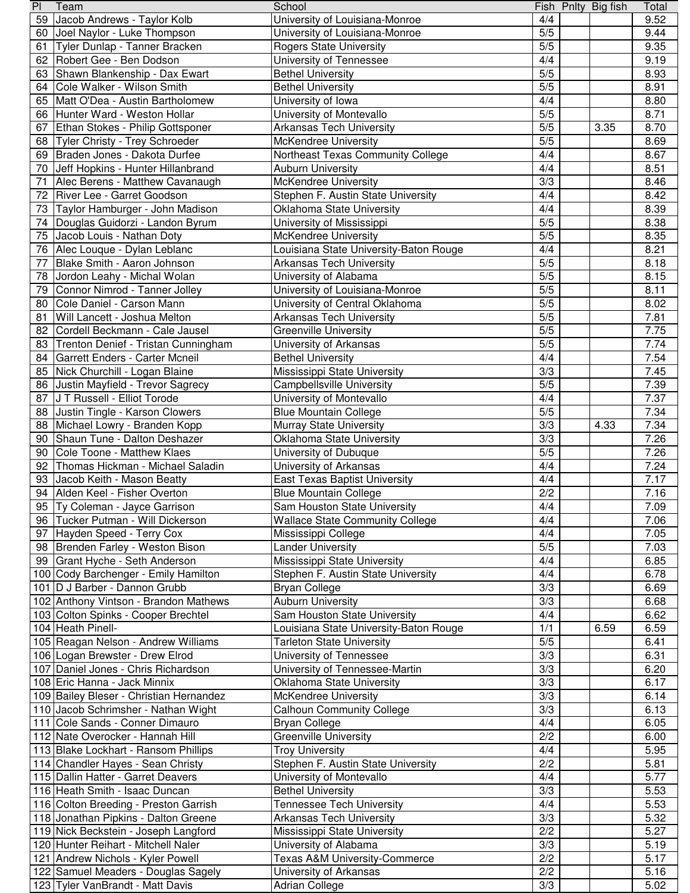| PI | Team                                    | School                                   |       | Fish Pnlty Big fish | Total |
|----|-----------------------------------------|------------------------------------------|-------|---------------------|-------|
|    | 59 Jacob Andrews - Taylor Kolb          | University of Louisiana-Monroe           | 4/4   |                     | 9.52  |
|    | 60 Joel Naylor - Luke Thompson          | University of Louisiana-Monroe           | 5/5   |                     | 9.44  |
| 61 | Tyler Dunlap - Tanner Bracken           | <b>Rogers State University</b>           | 5/5   |                     | 9.35  |
|    | 62 Robert Gee - Ben Dodson              | University of Tennessee                  | 4/4   |                     | 9.19  |
|    | 63 Shawn Blankenship - Dax Ewart        | <b>Bethel University</b>                 | 5/5   |                     | 8.93  |
|    | 64 Cole Walker - Wilson Smith           | <b>Bethel University</b>                 | 5/5   |                     | 8.91  |
|    | 65 Matt O'Dea - Austin Bartholomew      | University of Iowa                       | 4/4   |                     | 8.80  |
|    | 66 Hunter Ward - Weston Hollar          | University of Montevallo                 | 5/5   |                     | 8.71  |
|    | 67 Ethan Stokes - Philip Gottsponer     | <b>Arkansas Tech University</b>          | 5/5   | 3.35                | 8.70  |
|    | 68 Tyler Christy - Trey Schroeder       | McKendree University                     | 5/5   |                     | 8.69  |
|    | 69 Braden Jones - Dakota Durfee         |                                          | 4/4   |                     | 8.67  |
|    |                                         | Northeast Texas Community College        |       |                     |       |
|    | 70 Jeff Hopkins - Hunter Hillanbrand    | <b>Auburn University</b>                 | 4/4   |                     | 8.51  |
| 71 | Alec Berens - Matthew Cavanaugh         | McKendree University                     | 3/3   |                     | 8.46  |
|    | 72 River Lee - Garret Goodson           | Stephen F. Austin State University       | 4/4   |                     | 8.42  |
|    | 73 Taylor Hamburger - John Madison      | Oklahoma State University                | 4/4   |                     | 8.39  |
|    | 74 Douglas Guidorzi - Landon Byrum      | University of Mississippi                | 5/5   |                     | 8.38  |
|    | 75 Jacob Louis - Nathan Doty            | McKendree University                     | 5/5   |                     | 8.35  |
|    | 76 Alec Louque - Dylan Leblanc          | Louisiana State University-Baton Rouge   | 4/4   |                     | 8.21  |
| 77 | Blake Smith - Aaron Johnson             | <b>Arkansas Tech University</b>          | 5/5   |                     | 8.18  |
|    | 78 Jordon Leahy - Michal Wolan          | University of Alabama                    | 5/5   |                     | 8.15  |
|    | 79 Connor Nimrod - Tanner Jolley        | University of Louisiana-Monroe           | 5/5   |                     | 8.11  |
| 80 | Cole Daniel - Carson Mann               | University of Central Oklahoma           | 5/5   |                     | 8.02  |
| 81 | Will Lancett - Joshua Melton            | <b>Arkansas Tech University</b>          | 5/5   |                     | 7.81  |
|    | 82 Cordell Beckmann - Cale Jausel       | <b>Greenville University</b>             | 5/5   |                     | 7.75  |
|    | 83 Trenton Denief - Tristan Cunningham  | University of Arkansas                   | 5/5   |                     | 7.74  |
|    | 84 Garrett Enders - Carter Mcneil       | <b>Bethel University</b>                 | 4/4   |                     | 7.54  |
|    |                                         |                                          | 3/3   |                     | 7.45  |
|    | 85 Nick Churchill - Logan Blaine        | Mississippi State University             |       |                     |       |
|    | 86 Justin Mayfield - Trevor Sagrecy     | Campbellsville University                | 5/5   |                     | 7.39  |
|    | 87 J T Russell - Elliot Torode          | University of Montevallo                 | 4/4   |                     | 7.37  |
|    | 88 Justin Tingle - Karson Clowers       | <b>Blue Mountain College</b>             | 5/5   |                     | 7.34  |
|    | 88 Michael Lowry - Branden Kopp         | Murray State University                  | 3/3   | 4.33                | 7.34  |
|    | 90 Shaun Tune - Dalton Deshazer         | Oklahoma State University                | 3/3   |                     | 7.26  |
|    | 90 Cole Toone - Matthew Klaes           | University of Dubuque                    | 5/5   |                     | 7.26  |
|    | 92 Thomas Hickman - Michael Saladin     | University of Arkansas                   | 4/4   |                     | 7.24  |
|    | 93 Jacob Keith - Mason Beatty           | <b>East Texas Baptist University</b>     | 4/4   |                     | 7.17  |
|    | 94 Alden Keel - Fisher Overton          | <b>Blue Mountain College</b>             | 2/2   |                     | 7.16  |
|    | 95 Ty Coleman - Jayce Garrison          | Sam Houston State University             | 4/4   |                     | 7.09  |
|    | 96 Tucker Putman - Will Dickerson       | <b>Wallace State Community College</b>   | 4/4   |                     | 7.06  |
|    | 97 Hayden Speed - Terry Cox             | Mississippi College                      | 4/4   |                     | 7.05  |
|    | 98 Brenden Farley - Weston Bison        | <b>Lander University</b>                 | 5/5   |                     | 7.03  |
|    | 99 Grant Hyche - Seth Anderson          | Mississippi State University             | 4/4   |                     | 6.85  |
|    | 100 Cody Barchenger - Emily Hamilton    | Stephen F. Austin State University       | 4/4   |                     | 6.78  |
|    | 101 D J Barber - Dannon Grubb           | <b>Bryan College</b>                     | 3/3   |                     | 6.69  |
|    | 102 Anthony Vintson - Brandon Mathews   | <b>Auburn University</b>                 | 3/3   |                     | 6.68  |
|    |                                         |                                          |       |                     |       |
|    | 103 Colton Spinks - Cooper Brechtel     | Sam Houston State University             | 4/4   |                     | 6.62  |
|    | 104 Heath Pinell-                       | Louisiana State University-Baton Rouge   | 1/1   | 6.59                | 6.59  |
|    | 105 Reagan Nelson - Andrew Williams     | <b>Tarleton State University</b>         | $5/5$ |                     | 6.41  |
|    | 106 Logan Brewster - Drew Elrod         | University of Tennessee                  | 3/3   |                     | 6.31  |
|    | 107 Daniel Jones - Chris Richardson     | University of Tennessee-Martin           | 3/3   |                     | 6.20  |
|    | 108 Eric Hanna - Jack Minnix            | Oklahoma State University                | 3/3   |                     | 6.17  |
|    | 109 Bailey Bleser - Christian Hernandez | McKendree University                     | 3/3   |                     | 6.14  |
|    | 110 Jacob Schrimsher - Nathan Wight     | <b>Calhoun Community College</b>         | 3/3   |                     | 6.13  |
|    | 111 Cole Sands - Conner Dimauro         | <b>Bryan College</b>                     | 4/4   |                     | 6.05  |
|    | 112 Nate Overocker - Hannah Hill        | Greenville University                    | 2/2   |                     | 6.00  |
|    | 113 Blake Lockhart - Ransom Phillips    | <b>Troy University</b>                   | 4/4   |                     | 5.95  |
|    | 114 Chandler Hayes - Sean Christy       | Stephen F. Austin State University       | 2/2   |                     | 5.81  |
|    | 115 Dallin Hatter - Garret Deavers      | University of Montevallo                 | 4/4   |                     | 5.77  |
|    | 116 Heath Smith - Isaac Duncan          | <b>Bethel University</b>                 | 3/3   |                     | 5.53  |
|    | 116 Colton Breeding - Preston Garrish   | <b>Tennessee Tech University</b>         | 4/4   |                     | 5.53  |
|    | 118 Jonathan Pipkins - Dalton Greene    | <b>Arkansas Tech University</b>          | 3/3   |                     | 5.32  |
|    | 119 Nick Beckstein - Joseph Langford    | Mississippi State University             | 2/2   |                     | 5.27  |
|    | 120 Hunter Reihart - Mitchell Naler     | University of Alabama                    | 3/3   |                     | 5.19  |
|    | 121 Andrew Nichols - Kyler Powell       | <b>Texas A&amp;M University-Commerce</b> | 2/2   |                     | 5.17  |
|    | 122 Samuel Meaders - Douglas Sagely     | University of Arkansas                   | 2/2   |                     | 5.16  |
|    | 123 Tyler VanBrandt - Matt Davis        | <b>Adrian College</b>                    | 3/3   |                     | 5.02  |
|    |                                         |                                          |       |                     |       |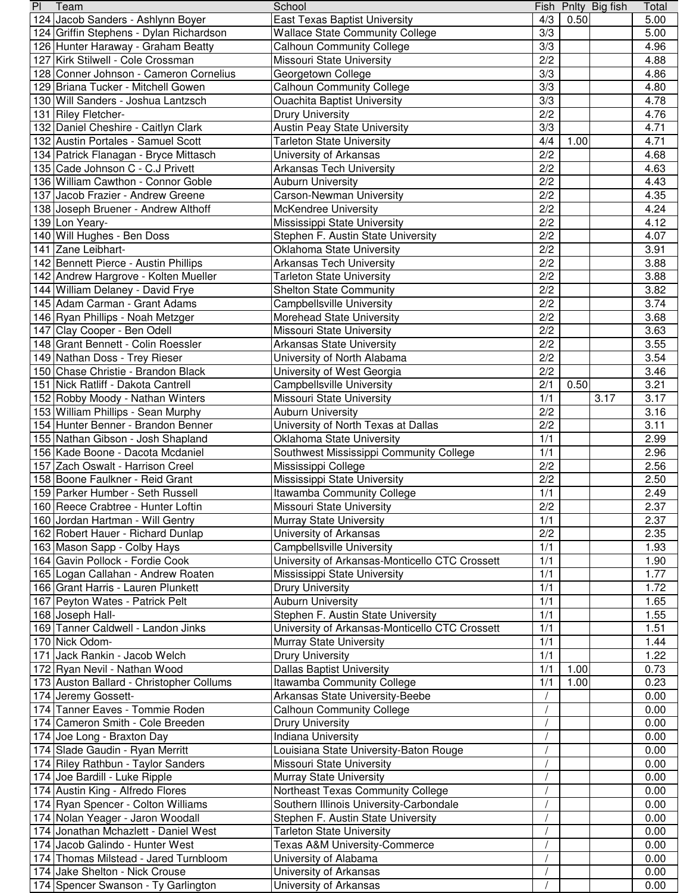| PI | Team                                     | School                                         |                  |      | Fish Pnlty Big fish | Total |
|----|------------------------------------------|------------------------------------------------|------------------|------|---------------------|-------|
|    | 124 Jacob Sanders - Ashlynn Boyer        | <b>East Texas Baptist University</b>           | 4/3              | 0.50 |                     | 5.00  |
|    | 124 Griffin Stephens - Dylan Richardson  | <b>Wallace State Community College</b>         | 3/3              |      |                     | 5.00  |
|    | 126 Hunter Haraway - Graham Beatty       | <b>Calhoun Community College</b>               | 3/3              |      |                     | 4.96  |
|    | 127 Kirk Stilwell - Cole Crossman        | Missouri State University                      | 2/2              |      |                     | 4.88  |
|    | 128 Conner Johnson - Cameron Cornelius   | Georgetown College                             | 3/3              |      |                     | 4.86  |
|    | 129 Briana Tucker - Mitchell Gowen       | <b>Calhoun Community College</b>               | 3/3              |      |                     | 4.80  |
|    | 130 Will Sanders - Joshua Lantzsch       | <b>Ouachita Baptist University</b>             | 3/3              |      |                     | 4.78  |
|    |                                          |                                                | 2/2              |      |                     | 4.76  |
|    | 131 Riley Fletcher-                      | <b>Drury University</b>                        |                  |      |                     |       |
|    | 132 Daniel Cheshire - Caitlyn Clark      | <b>Austin Peay State University</b>            | 3/3              |      |                     | 4.71  |
|    | 132 Austin Portales - Samuel Scott       | <b>Tarleton State University</b>               | 4/4              | 1.00 |                     | 4.71  |
|    | 134 Patrick Flanagan - Bryce Mittasch    | University of Arkansas                         | 2/2              |      |                     | 4.68  |
|    | 135 Cade Johnson C - C.J Privett         | <b>Arkansas Tech University</b>                | 2/2              |      |                     | 4.63  |
|    | 136 William Cawthon - Connor Goble       | <b>Auburn University</b>                       | 2/2              |      |                     | 4.43  |
|    | 137 Jacob Frazier - Andrew Greene        | Carson-Newman University                       | 2/2              |      |                     | 4.35  |
|    | 138 Joseph Bruener - Andrew Althoff      | McKendree University                           | 2/2              |      |                     | 4.24  |
|    | 139 Lon Yeary-                           | Mississippi State University                   | 2/2              |      |                     | 4.12  |
|    | 140 Will Hughes - Ben Doss               | Stephen F. Austin State University             | 2/2              |      |                     | 4.07  |
|    | 141 Zane Leibhart-                       | Oklahoma State University                      | 2/2              |      |                     | 3.91  |
|    | 142 Bennett Pierce - Austin Phillips     | <b>Arkansas Tech University</b>                | 2/2              |      |                     | 3.88  |
|    |                                          |                                                |                  |      |                     |       |
|    | 142 Andrew Hargrove - Kolten Mueller     | <b>Tarleton State University</b>               | 2/2              |      |                     | 3.88  |
|    | 144 William Delaney - David Frye         | <b>Shelton State Community</b>                 | 2/2              |      |                     | 3.82  |
|    | 145 Adam Carman - Grant Adams            | <b>Campbellsville University</b>               | 2/2              |      |                     | 3.74  |
|    | 146 Ryan Phillips - Noah Metzger         | Morehead State University                      | 2/2              |      |                     | 3.68  |
|    | 147 Clay Cooper - Ben Odell              | Missouri State University                      | 2/2              |      |                     | 3.63  |
|    | 148 Grant Bennett - Colin Roessler       | <b>Arkansas State University</b>               | 2/2              |      |                     | 3.55  |
|    | 149 Nathan Doss - Trey Rieser            | University of North Alabama                    | 2/2              |      |                     | 3.54  |
|    | 150 Chase Christie - Brandon Black       | University of West Georgia                     | 2/2              |      |                     | 3.46  |
|    | 151 Nick Ratliff - Dakota Cantrell       | Campbellsville University                      | 2/1              | 0.50 |                     | 3.21  |
|    | 152 Robby Moody - Nathan Winters         | Missouri State University                      | 1/1              |      | 3.17                | 3.17  |
|    |                                          |                                                |                  |      |                     |       |
|    | 153 William Phillips - Sean Murphy       | <b>Auburn University</b>                       | 2/2              |      |                     | 3.16  |
|    | 154 Hunter Benner - Brandon Benner       | University of North Texas at Dallas            | 2/2              |      |                     | 3.11  |
|    | 155 Nathan Gibson - Josh Shapland        | Oklahoma State University                      | 1/1              |      |                     | 2.99  |
|    | 156 Kade Boone - Dacota Mcdaniel         | Southwest Mississippi Community College        | 1/1              |      |                     | 2.96  |
|    | 157 Zach Oswalt - Harrison Creel         | Mississippi College                            | 2/2              |      |                     | 2.56  |
|    | 158 Boone Faulkner - Reid Grant          | Mississippi State University                   | 2/2              |      |                     | 2.50  |
|    | 159 Parker Humber - Seth Russell         | Itawamba Community College                     | 1/1              |      |                     | 2.49  |
|    | 160 Reece Crabtree - Hunter Loftin       | Missouri State University                      | $\overline{2/2}$ |      |                     | 2.37  |
|    | 160 Jordan Hartman - Will Gentry         | Murray State University                        | 1/1              |      |                     | 2.37  |
|    | 162 Robert Hauer - Richard Dunlap        | University of Arkansas                         | 2/2              |      |                     | 2.35  |
|    | 163 Mason Sapp - Colby Hays              | <b>Campbellsville University</b>               | 1/1              |      |                     | 1.93  |
|    |                                          |                                                |                  |      |                     |       |
|    | 164 Gavin Pollock - Fordie Cook          | University of Arkansas-Monticello CTC Crossett | 1/1              |      |                     | 1.90  |
|    | 165 Logan Callahan - Andrew Roaten       | Mississippi State University                   | 1/1              |      |                     | 1.77  |
|    | 166 Grant Harris - Lauren Plunkett       | <b>Drury University</b>                        | 1/1              |      |                     | 1.72  |
|    | 167 Peyton Wates - Patrick Pelt          | <b>Auburn University</b>                       | 1/1              |      |                     | 1.65  |
|    | 168 Joseph Hall-                         | Stephen F. Austin State University             | 1/1              |      |                     | 1.55  |
|    | 169 Tanner Caldwell - Landon Jinks       | University of Arkansas-Monticello CTC Crossett | 1/1              |      |                     | 1.51  |
|    | 170 Nick Odom-                           | Murray State University                        | 1/1              |      |                     | 1.44  |
|    | 171 Jack Rankin - Jacob Welch            | <b>Drury University</b>                        | 1/1              |      |                     | 1.22  |
|    | 172 Ryan Nevil - Nathan Wood             | <b>Dallas Baptist University</b>               | 1/1              | 1.00 |                     | 0.73  |
|    | 173 Auston Ballard - Christopher Collums | Itawamba Community College                     | 1/1              | 1.00 |                     | 0.23  |
|    | 174 Jeremy Gossett-                      | Arkansas State University-Beebe                |                  |      |                     | 0.00  |
|    | 174 Tanner Eaves - Tommie Roden          |                                                |                  |      |                     |       |
|    |                                          | <b>Calhoun Community College</b>               |                  |      |                     | 0.00  |
|    | 174 Cameron Smith - Cole Breeden         | <b>Drury University</b>                        |                  |      |                     | 0.00  |
|    | 174 Joe Long - Braxton Day               | <b>Indiana University</b>                      |                  |      |                     | 0.00  |
|    | 174 Slade Gaudin - Ryan Merritt          | Louisiana State University-Baton Rouge         |                  |      |                     | 0.00  |
|    | 174 Riley Rathbun - Taylor Sanders       | Missouri State University                      |                  |      |                     | 0.00  |
|    | 174 Joe Bardill - Luke Ripple            | Murray State University                        |                  |      |                     | 0.00  |
|    | 174 Austin King - Alfredo Flores         | Northeast Texas Community College              |                  |      |                     | 0.00  |
|    | 174 Ryan Spencer - Colton Williams       | Southern Illinois University-Carbondale        |                  |      |                     | 0.00  |
|    | 174 Nolan Yeager - Jaron Woodall         | Stephen F. Austin State University             |                  |      |                     | 0.00  |
|    | 174 Jonathan Mchazlett - Daniel West     | <b>Tarleton State University</b>               |                  |      |                     | 0.00  |
|    | 174 Jacob Galindo - Hunter West          | Texas A&M University-Commerce                  |                  |      |                     | 0.00  |
|    |                                          |                                                |                  |      |                     |       |
|    | 174 Thomas Milstead - Jared Turnbloom    | University of Alabama                          |                  |      |                     | 0.00  |
|    | 174 Jake Shelton - Nick Crouse           | University of Arkansas                         |                  |      |                     | 0.00  |
|    | 174 Spencer Swanson - Ty Garlington      | University of Arkansas                         |                  |      |                     | 0.00  |